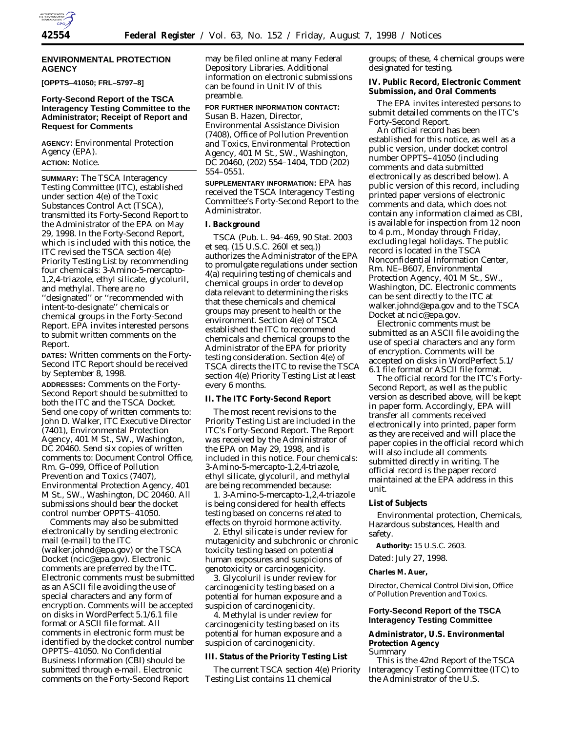

#### **ENVIRONMENTAL PROTECTION AGENCY**

**[OPPTS–41050; FRL–5797–8]**

#### **Forty-Second Report of the TSCA Interagency Testing Committee to the Administrator; Receipt of Report and Request for Comments**

**AGENCY:** Environmental Protection Agency (EPA). **ACTION:** Notice.

**SUMMARY:** The TSCA Interagency Testing Committee (ITC), established under section 4(e) of the Toxic Substances Control Act (TSCA), transmitted its Forty-Second Report to the Administrator of the EPA on May 29, 1998. In the Forty-Second Report, which is included with this notice, the ITC revised the TSCA section 4(e) *Priority Testing List* by recommending four chemicals: 3-Amino-5-mercapto-1,2,4-triazole, ethyl silicate, glycoluril, and methylal. There are no ''designated'' or ''recommended with intent-to-designate'' chemicals or chemical groups in the Forty-Second Report. EPA invites interested persons to submit written comments on the Report.

**DATES:** Written comments on the Forty-Second ITC Report should be received by September 8, 1998.

**ADDRESSES:** Comments on the Forty-Second Report should be submitted to both the ITC and the TSCA Docket. Send one copy of written comments to: John D. Walker, ITC Executive Director (7401), Environmental Protection Agency, 401 M St., SW., Washington, DC 20460. Send six copies of written comments to: Document Control Office, Rm. G–099, Office of Pollution Prevention and Toxics (7407), Environmental Protection Agency, 401 M St., SW., Washington, DC 20460. All submissions should bear the docket control number OPPTS–41050.

Comments may also be submitted electronically by sending electronic mail (e-mail) to the ITC (walker.johnd@epa.gov) or the TSCA Docket (ncic@epa.gov). Electronic comments are preferred by the ITC. Electronic comments must be submitted as an ASCII file avoiding the use of special characters and any form of encryption. Comments will be accepted on disks in WordPerfect 5.1/6.1 file format or ASCII file format. All comments in electronic form must be identified by the docket control number OPPTS–41050. No Confidential Business Information (CBI) should be submitted through e-mail. Electronic comments on the Forty-Second Report

may be filed online at many Federal Depository Libraries. Additional information on electronic submissions can be found in Unit IV of this preamble.

# **FOR FURTHER INFORMATION CONTACT:** Susan B. Hazen, Director, Environmental Assistance Division (7408), Office of Pollution Prevention and Toxics, Environmental Protection Agency, 401 M St., SW., Washington, DC 20460, (202) 554–1404, TDD (202) 554–0551.

**SUPPLEMENTARY INFORMATION:** EPA has received the TSCA Interagency Testing Committee's Forty-Second Report to the Administrator.

#### **I. Background**

TSCA (Pub. L. 94–469, 90 Stat. 2003 *et seq.* (15 U.S.C. 260l *et seq.*)) authorizes the Administrator of the EPA to promulgate regulations under section 4(a) requiring testing of chemicals and chemical groups in order to develop data relevant to determining the risks that these chemicals and chemical groups may present to health or the environment. Section 4(e) of TSCA established the ITC to recommend chemicals and chemical groups to the Administrator of the EPA for priority testing consideration. Section 4(e) of TSCA directs the ITC to revise the TSCA section 4(e) *Priority Testing List* at least every 6 months.

# **II. The ITC Forty-Second Report**

The most recent revisions to the *Priority Testing List* are included in the ITC's Forty-Second Report. The Report was received by the Administrator of the EPA on May 29, 1998, and is included in this notice. Four chemicals: 3-Amino-5-mercapto-1,2,4-triazole, ethyl silicate, glycoluril, and methylal are being recommended because:

1. 3-Amino-5-mercapto-1,2,4-triazole is being considered for health effects testing based on concerns related to effects on thyroid hormone activity.

2. Ethyl silicate is under review for mutagenicity and subchronic or chronic toxicity testing based on potential human exposures and suspicions of genotoxicity or carcinogenicity.

3. Glycoluril is under review for carcinogenicity testing based on a potential for human exposure and a suspicion of carcinogenicity.

4. Methylal is under review for carcinogenicity testing based on its potential for human exposure and a suspicion of carcinogenicity.

#### **III. Status of the Priority Testing List**

The current TSCA section 4(e) *Priority Testing List* contains 11 chemical

groups; of these, 4 chemical groups were designated for testing.

#### **IV. Public Record, Electronic Comment Submission, and Oral Comments**

The EPA invites interested persons to submit detailed comments on the ITC's Forty-Second Report.

An official record has been established for this notice, as well as a public version, under docket control number OPPTS–41050 (including comments and data submitted electronically as described below). A public version of this record, including printed paper versions of electronic comments and data, which does not contain any information claimed as CBI, is available for inspection from 12 noon to 4 p.m., Monday through Friday, excluding legal holidays. The public record is located in the TSCA Nonconfidential Information Center, Rm. NE–B607, Environmental Protection Agency, 401 M St., SW., Washington, DC. Electronic comments can be sent directly to the ITC at walker.johnd@epa.gov and to the TSCA Docket at ncic@epa.gov.

Electronic comments must be submitted as an ASCII file avoiding the use of special characters and any form of encryption. Comments will be accepted on disks in WordPerfect 5.1/ 6.1 file format or ASCII file format.

The official record for the ITC's Forty-Second Report, as well as the public version as described above, will be kept in paper form. Accordingly, EPA will transfer all comments received electronically into printed, paper form as they are received and will place the paper copies in the official record which will also include all comments submitted directly in writing. The official record is the paper record maintained at the EPA address in this unit.

#### **List of Subjects**

Environmental protection, Chemicals, Hazardous substances, Health and safety.

**Authority:** 15 U.S.C. 2603. Dated: July 27, 1998.

#### **Charles M. Auer,**

*Director, Chemical Control Division, Office of Pollution Prevention and Toxics.*

## **Forty-Second Report of the TSCA Interagency Testing Committee**

# **Administrator, U.S. Environmental Protection Agency**

*Summary*

This is the 42nd Report of the TSCA Interagency Testing Committee (ITC) to the Administrator of the U.S.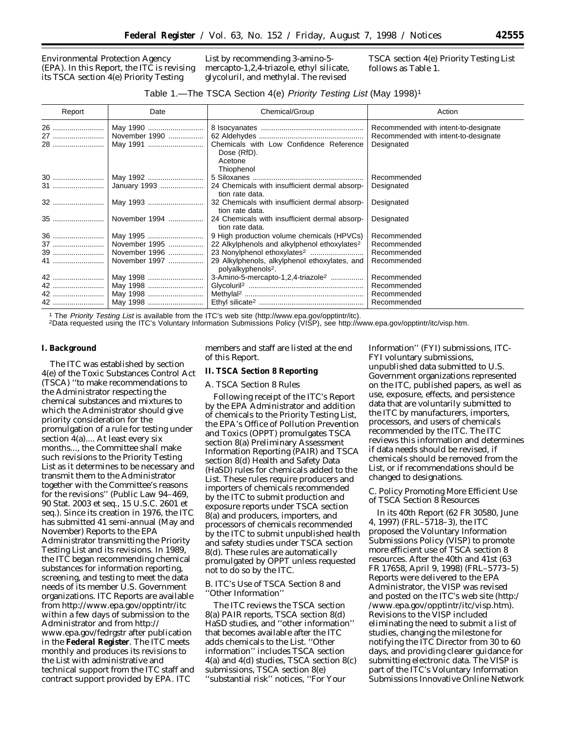Environmental Protection Agency (EPA). In this Report, the ITC is revising its TSCA section 4(e) *Priority Testing*

*List* by recommending 3-amino-5 mercapto-1,2,4-triazole, ethyl silicate, glycoluril, and methylal. The revised

TSCA section 4(e) *Priority Testing List* follows as Table 1.

#### Table 1.—The TSCA Section 4(e) Priority Testing List (May 1998)1

| Report          | Date                                  | Chemical/Group                                                                  | Action                                                                                     |
|-----------------|---------------------------------------|---------------------------------------------------------------------------------|--------------------------------------------------------------------------------------------|
| 26<br>27<br>28  | May 1990<br>November 1990<br>May 1991 | Chemicals with Low Confidence Reference<br>Dose (RfD).<br>Acetone               | Recommended with intent-to-designate<br>Recommended with intent-to-designate<br>Designated |
| 30<br><b>31</b> | May 1992<br>January 1993              | Thiophenol<br>24 Chemicals with insufficient dermal absorp-<br>tion rate data.  | Recommended<br>Designated                                                                  |
| 32              | May 1993                              | 32 Chemicals with insufficient dermal absorp-<br>tion rate data.                | Designated                                                                                 |
| 35              | November 1994                         | 24 Chemicals with insufficient dermal absorp-<br>tion rate data.                | Designated                                                                                 |
| 36              | May 1995                              | 9 High production volume chemicals (HPVCs)                                      | Recommended                                                                                |
| 37              | November 1995                         | 22 Alkylphenols and alkylphenol ethoxylates <sup>2</sup>                        | Recommended                                                                                |
| 39              | November 1996                         |                                                                                 | Recommended                                                                                |
| 41              | November 1997                         | 29 Alkylphenols, alkylphenol ethoxylates, and<br>polyalkyphenols <sup>2</sup> . | Recommended                                                                                |
| 42              | May 1998                              | 3-Amino-5-mercapto-1,2,4-triazole <sup>2</sup>                                  | Recommended                                                                                |
| 42              | May 1998                              |                                                                                 | Recommended                                                                                |
| 42              | May 1998                              |                                                                                 | Recommended                                                                                |
| 42              | May 1998                              |                                                                                 | Recommended                                                                                |

<sup>1</sup> The Priority Testing List is available from the ITC's web site (http://www.epa.gov/opptintr/itc).<br><sup>2</sup>Data requested using the ITC's Voluntary Information Submissions Policy (VISP), see http://www.epa.gov/opptintr/itc/v

#### **I. Background**

The ITC was established by section 4(e) of the Toxic Substances Control Act (TSCA) ''to make recommendations to the Administrator respecting the chemical substances and mixtures to which the Administrator should give priority consideration for the promulgation of a rule for testing under section 4(a).... At least every six months..., the Committee shall make such revisions to the *Priority Testing* List as it determines to be necessary and transmit them to the Administrator together with the Committee's reasons for the revisions'' (Public Law 94–469, 90 Stat. 2003 *et seq*., 15 U.S.C. 2601 *et seq*.). Since its creation in 1976, the ITC has submitted 41 semi-annual (May and November) Reports to the EPA Administrator transmitting the *Priority Testing List* and its revisions. In 1989, the ITC began recommending chemical substances for information reporting, screening, and testing to meet the data needs of its member U.S. Government organizations. ITC Reports are available from http://www.epa.gov/opptintr/itc within a few days of submission to the Administrator and from http:// www.epa.gov/fedrgstr after publication in the **Federal Register**. The ITC meets monthly and produces its revisions to the *List* with administrative and technical support from the ITC staff and contract support provided by EPA. ITC

members and staff are listed at the end of this Report.

### **II. TSCA Section 8 Reporting**

#### *A. TSCA Section 8 Rules*

Following receipt of the ITC's Report by the EPA Administrator and addition of chemicals to the *Priority Testing List*, the EPA's Office of Pollution Prevention and Toxics (OPPT) promulgates TSCA section 8(a) Preliminary Assessment Information Reporting (PAIR) and TSCA section 8(d) Health and Safety Data (HaSD) rules for chemicals added to the *List*. These rules require producers and importers of chemicals recommended by the ITC to submit production and exposure reports under TSCA section 8(a) and producers, importers, and processors of chemicals recommended by the ITC to submit unpublished health and safety studies under TSCA section 8(d). These rules are automatically promulgated by OPPT unless requested not to do so by the ITC.

#### *B. ITC's Use of TSCA Section 8 and ''Other Information''*

The ITC reviews the TSCA section 8(a) PAIR reports, TSCA section 8(d) HaSD studies, and ''other information'' that becomes available after the ITC adds chemicals to the *List*. ''Other information'' includes TSCA section 4(a) and 4(d) studies, TSCA section 8(c) submissions, TSCA section 8(e) ''substantial risk'' notices, ''For Your

Information'' (FYI) submissions, ITC-FYI voluntary submissions, unpublished data submitted to U.S. Government organizations represented on the ITC, published papers, as well as use, exposure, effects, and persistence data that are voluntarily submitted to the ITC by manufacturers, importers, processors, and users of chemicals recommended by the ITC. The ITC reviews this information and determines if data needs should be revised, if chemicals should be removed from the *List*, or if recommendations should be changed to designations.

#### *C. Policy Promoting More Efficient Use of TSCA Section 8 Resources*

In its 40th Report (62 FR 30580, June 4, 1997) (FRL–5718–3), the ITC proposed the Voluntary Information Submissions Policy (VISP) to promote more efficient use of TSCA section 8 resources. After the 40th and 41st (63 FR 17658, April 9, 1998) (FRL–5773–5) Reports were delivered to the EPA Administrator, the VISP was revised and posted on the ITC's web site (http:/ /www.epa.gov/opptintr/itc/visp.htm). Revisions to the VISP included eliminating the need to submit a list of studies, changing the milestone for notifying the ITC Director from 30 to 60 days, and providing clearer guidance for submitting electronic data. The VISP is part of the ITC's Voluntary Information Submissions Innovative Online Network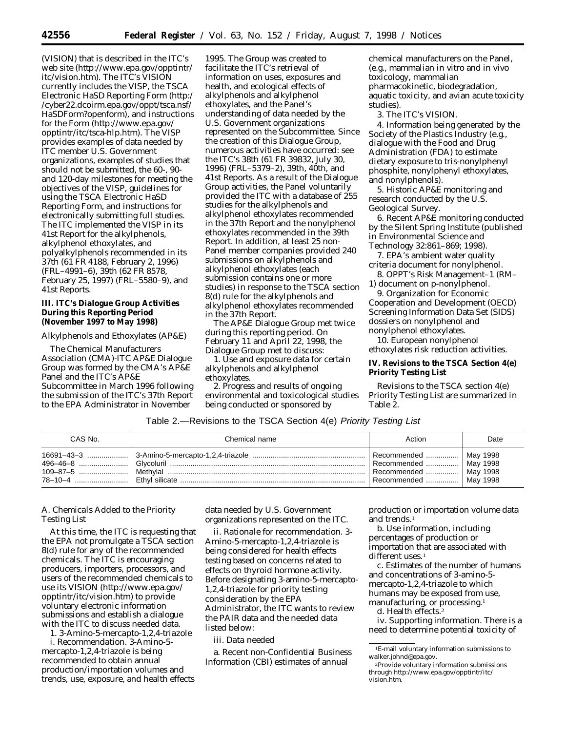(VISION) that is described in the ITC's web site (http://www.epa.gov/opptintr/ itc/vision.htm). The ITC's VISION currently includes the VISP, the TSCA Electronic HaSD Reporting Form (http:/ /cyber22.dcoirm.epa.gov/oppt/tsca.nsf/ HaSDForm?openform), and instructions for the Form (http://www.epa.gov/ opptintr/itc/tsca-hlp.htm). The VISP provides examples of data needed by ITC member U.S. Government organizations, examples of studies that should not be submitted, the 60-, 90 and 120-day milestones for meeting the objectives of the VISP, guidelines for using the TSCA Electronic HaSD Reporting Form, and instructions for electronically submitting full studies. The ITC implemented the VISP in its 41st Report for the alkylphenols, alkylphenol ethoxylates, and polyalkylphenols recommended in its 37th (61 FR 4188, February 2, 1996) (FRL–4991–6), 39th (62 FR 8578, February 25, 1997) (FRL–5580–9), and 41st Reports.

#### **III. ITC's Dialogue Group Activities During this Reporting Period (November 1997 to May 1998)**

#### *Alkylphenols and Ethoxylates (AP&E)*

The Chemical Manufacturers Association (CMA)-ITC AP&E Dialogue Group was formed by the CMA's AP&E Panel and the ITC's AP&E Subcommittee in March 1996 following the submission of the ITC's 37th Report to the EPA Administrator in November

1995. The Group was created to facilitate the ITC's retrieval of information on uses, exposures and health, and ecological effects of alkylphenols and alkylphenol ethoxylates, and the Panel's understanding of data needed by the U.S. Government organizations represented on the Subcommittee. Since the creation of this Dialogue Group, numerous activities have occurred: see the ITC's 38th (61 FR 39832, July 30, 1996) (FRL–5379–2), 39th, 40th, and 41st Reports. As a result of the Dialogue Group activities, the Panel voluntarily provided the ITC with a database of 255 studies for the alkylphenols and alkylphenol ethoxylates recommended in the 37th Report and the nonylphenol ethoxylates recommended in the 39th Report. In addition, at least 25 non-Panel member companies provided 240 submissions on alkylphenols and alkylphenol ethoxylates (each submission contains one or more studies) in response to the TSCA section 8(d) rule for the alkylphenols and alkylphenol ethoxylates recommended in the 37th Report.

The AP&E Dialogue Group met twice during this reporting period. On February 11 and April 22, 1998, the Dialogue Group met to discuss:

1. Use and exposure data for certain alkylphenols and alkylphenol ethoxylates.

2. Progress and results of ongoing environmental and toxicological studies being conducted or sponsored by

chemical manufacturers on the Panel, (e.g., mammalian *in vitro* and *in vivo* toxicology, mammalian pharmacokinetic, biodegradation, aquatic toxicity, and avian acute toxicity studies).

3. The ITC's VISION.

4. Information being generated by the Society of the Plastics Industry (e.g., dialogue with the Food and Drug Administration (FDA) to estimate dietary exposure to tris-nonylphenyl phosphite, nonylphenyl ethoxylates, and nonylphenols).

5. Historic AP&E monitoring and research conducted by the U.S. Geological Survey.

6. Recent AP&E monitoring conducted by the Silent Spring Institute (published in *Environmental Science and Technology* 32:861–869; 1998).

7. EPA's ambient water quality criteria document for nonylphenol.

8. OPPT's Risk Management–1 (RM– 1) document on *p*-nonylphenol.

9. Organization for Economic Cooperation and Development (OECD) Screening Information Data Set (SIDS) dossiers on nonylphenol and nonylphenol ethoxylates.

10. European nonylphenol ethoxylates risk reduction activities.

## **IV. Revisions to the TSCA Section 4(e) Priority Testing List**

Revisions to the TSCA section 4(e) *Priority Testing List* are summarized in Table 2.

# Table 2.—Revisions to the TSCA Section 4(e) Priority Testing List

| CAS No. | Chemical name | Action                                                                          | Date |
|---------|---------------|---------------------------------------------------------------------------------|------|
|         |               | Recommended    May 1998<br>Recommended    May 1998<br>  Recommended    Mav 1998 |      |

#### *A. Chemicals Added to the Priority Testing List*

At this time, the ITC is requesting that the EPA not promulgate a TSCA section 8(d) rule for any of the recommended chemicals. The ITC is encouraging producers, importers, processors, and users of the recommended chemicals to use its VISION (http://www.epa.gov/ opptintr/itc/vision.htm) to provide voluntary electronic information submissions and establish a dialogue with the ITC to discuss needed data.

1. *3-Amino-5-mercapto-1,2,4-triazole* i. *Recommendation*. 3-Amino-5 mercapto-1,2,4-triazole is being recommended to obtain annual production/importation volumes and trends, use, exposure, and health effects data needed by U.S. Government organizations represented on the ITC.

ii. *Rationale for recommendation*. 3- Amino-5-mercapto-1,2,4-triazole is being considered for health effects testing based on concerns related to effects on thyroid hormone activity. Before designating 3-amino-5-mercapto-1,2,4-triazole for priority testing consideration by the EPA Administrator, the ITC wants to review the PAIR data and the needed data listed below:

#### iii. *Data needed*

a. Recent non-Confidential Business Information (CBI) estimates of annual

production or importation volume data and trends.1

b. Use information, including percentages of production or importation that are associated with different uses.<sup>1</sup>

c. Estimates of the number of humans and concentrations of 3-amino-5 mercapto-1,2,4-triazole to which humans may be exposed from use, manufacturing, or processing.<sup>1</sup>

d. Health effects.2

iv. *Supporting information*. There is a need to determine potential toxicity of

<sup>1</sup>E-mail voluntary information submissions to walker.johnd@epa.gov.

<sup>2</sup>Provide voluntary information submissions through http://www.epa.gov/opptintr/itc/ vision.htm.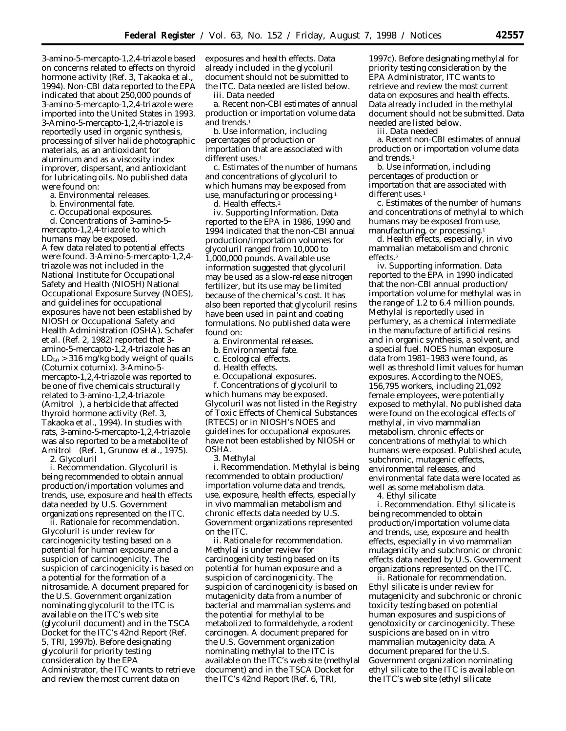3-amino-5-mercapto-1,2,4-triazole based on concerns related to effects on thyroid hormone activity (Ref. 3, Takaoka et al., 1994). Non-CBI data reported to the EPA indicated that about 250,000 pounds of 3-amino-5-mercapto-1,2,4-triazole were imported into the United States in 1993. 3-Amino-5-mercapto-1,2,4-triazole is reportedly used in organic synthesis, processing of silver halide photographic materials, as an antioxidant for aluminum and as a viscosity index improver, dispersant, and antioxidant for lubricating oils. No published data were found on:

- a. Environmental releases.
- b. Environmental fate.
- c. Occupational exposures.

d. Concentrations of 3-amino-5 mercapto-1,2,4-triazole to which humans may be exposed. A few data related to potential effects were found. 3-Amino-5-mercapto-1,2,4 triazole was not included in the National Institute for Occupational Safety and Health (NIOSH) National Occupational Exposure Survey (NOES), and guidelines for occupational exposures have not been established by NIOSH or Occupational Safety and Health Administration (OSHA). Schafer et al. (Ref. 2, 1982) reported that 3 amino-5-mercapto-1,2,4-triazole has an  $LD_{50} > 316$  mg/kg body weight of quails (Coturnix coturnix). 3-Amino-5 mercapto-1,2,4-triazole was reported to be one of five chemicals structurally related to 3-amino-1,2,4-triazole (Amitrol®), a herbicide that affected thyroid hormone activity (Ref. 3, Takaoka et al., 1994). In studies with rats, 3-amino-5-mercapto-1,2,4-triazole was also reported to be a metabolite of Amitrol<sup>®</sup> (Ref. 1, Grunow et al., 1975). 2. *Glycoluril*

i. *Recommendation*. Glycoluril is being recommended to obtain annual production/importation volumes and trends, use, exposure and health effects data needed by U.S. Government organizations represented on the ITC.

ii. *Rationale for recommendation*. Glycoluril is under review for carcinogenicity testing based on a potential for human exposure and a suspicion of carcinogenicity. The suspicion of carcinogenicity is based on a potential for the formation of a nitrosamide. A document prepared for the U.S. Government organization nominating glycoluril to the ITC is available on the ITC's web site (glycoluril document) and in the TSCA Docket for the ITC's 42nd Report (Ref. 5, TRI, 1997b). Before designating glycoluril for priority testing consideration by the EPA Administrator, the ITC wants to retrieve and review the most current data on

exposures and health effects. Data already included in the glycoluril document should not be submitted to the ITC. Data needed are listed below.

iii. *Data needed*

a. Recent non-CBI estimates of annual production or importation volume data and trends.<sup>1</sup>

b. Use information, including percentages of production or importation that are associated with different uses.<sup>1</sup>

c. Estimates of the number of humans and concentrations of glycoluril to which humans may be exposed from use, manufacturing or processing.1

d. Health effects.2

iv. *Supporting Information*. Data reported to the EPA in 1986, 1990 and 1994 indicated that the non-CBI annual production/importation volumes for glycoluril ranged from 10,000 to 1,000,000 pounds. Available use information suggested that glycoluril may be used as a slow-release nitrogen fertilizer, but its use may be limited because of the chemical's cost. It has also been reported that glycoluril resins have been used in paint and coating formulations. No published data were found on:

a. Environmental releases.

- b. Environmental fate.
- c. Ecological effects.
- d. Health effects.
- e. Occupational exposures.

f. Concentrations of glycoluril to which humans may be exposed. Glycoluril was not listed in the Registry of Toxic Effects of Chemical Substances (RTECS) or in NIOSH's NOES and guidelines for occupational exposures have not been established by NIOSH or OSHA.

#### *3. Methylal*

i. *Recommendation*. Methylal is being recommended to obtain production/ importation volume data and trends, use, exposure, health effects, especially *in vivo* mammalian metabolism and chronic effects data needed by U.S. Government organizations represented on the ITC.

ii. *Rationale for recommendation*. Methylal is under review for carcinogenicity testing based on its potential for human exposure and a suspicion of carcinogenicity. The suspicion of carcinogenicity is based on mutagenicity data from a number of bacterial and mammalian systems and the potential for methylal to be metabolized to formaldehyde, a rodent carcinogen. A document prepared for the U.S. Government organization nominating methylal to the ITC is available on the ITC's web site (methylal document) and in the TSCA Docket for the ITC's 42nd Report (Ref. 6, TRI,

1997c). Before designating methylal for priority testing consideration by the EPA Administrator, ITC wants to retrieve and review the most current data on exposures and health effects. Data already included in the methylal document should not be submitted. Data needed are listed below.

iii. *Data needed*

a. Recent non-CBI estimates of annual production or importation volume data and trends.<sup>1</sup>

b. Use information, including percentages of production or importation that are associated with different uses.<sup>1</sup>

c. Estimates of the number of humans and concentrations of methylal to which humans may be exposed from use, manufacturing, or processing.<sup>1</sup>

d. Health effects, especially, *in vivo* mammalian metabolism and chronic effects.2

iv. *Supporting information*. Data reported to the EPA in 1990 indicated that the non-CBI annual production/ importation volume for methylal was in the range of 1.2 to 6.4 million pounds. Methylal is reportedly used in perfumery, as a chemical intermediate in the manufacture of artificial resins and in organic synthesis, a solvent, and a special fuel. NOES human exposure data from 1981–1983 were found, as well as threshold limit values for human exposures. According to the NOES, 156,795 workers, including 21,092 female employees, were potentially exposed to methylal. No published data were found on the ecological effects of methylal, *in vivo* mammalian metabolism, chronic effects or concentrations of methylal to which humans were exposed. Published acute, subchronic, mutagenic effects, environmental releases, and environmental fate data were located as well as some metabolism data. 4. *Ethyl silicate*

i. *Recommendation*. Ethyl silicate is being recommended to obtain production/importation volume data and trends, use, exposure and health effects, especially *in vivo* mammalian mutagenicity and subchronic or chronic effects data needed by U.S. Government organizations represented on the ITC.

ii. *Rationale for recommendation*. Ethyl silicate is under review for mutagenicity and subchronic or chronic toxicity testing based on potential human exposures and suspicions of genotoxicity or carcinogenicity. These suspicions are based on *in vitro* mammalian mutagenicity data. A document prepared for the U.S. Government organization nominating ethyl silicate to the ITC is available on the ITC's web site (ethyl silicate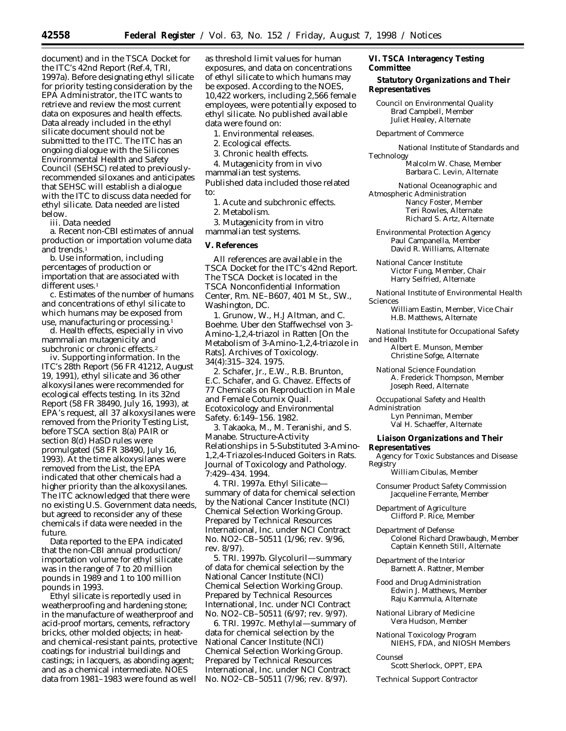document) and in the TSCA Docket for the ITC's 42nd Report (Ref.4, TRI, 1997a). Before designating ethyl silicate for priority testing consideration by the EPA Administrator, the ITC wants to retrieve and review the most current data on exposures and health effects. Data already included in the ethyl silicate document should not be submitted to the ITC. The ITC has an ongoing dialogue with the Silicones Environmental Health and Safety Council (SEHSC) related to previouslyrecommended siloxanes and anticipates that SEHSC will establish a dialogue with the ITC to discuss data needed for ethyl silicate. Data needed are listed below.

iii. *Data needed*

a. Recent non-CBI estimates of annual production or importation volume data and trends.<sup>1</sup>

b. Use information, including percentages of production or importation that are associated with  $diff$ erent uses  $1$ 

c. Estimates of the number of humans and concentrations of ethyl silicate to which humans may be exposed from use, manufacturing or processing.<sup>1</sup>

d. Health effects, especially *in vivo* mammalian mutagenicity and subchronic or chronic effects.2

iv. *Supporting information*. In the ITC's 28th Report (56 FR 41212, August 19, 1991), ethyl silicate and 36 other alkoxysilanes were recommended for ecological effects testing. In its 32nd Report (58 FR 38490, July 16, 1993), at EPA's request, all 37 alkoxysilanes were removed from the *Priority Testing List*, before TSCA section 8(a) PAIR or section 8(d) HaSD rules were promulgated (58 FR 38490, July 16, 1993). At the time alkoxysilanes were removed from the *List*, the EPA indicated that other chemicals had a higher priority than the alkoxysilanes. The ITC acknowledged that there were no existing U.S. Government data needs, but agreed to reconsider any of these chemicals if data were needed in the future.

Data reported to the EPA indicated that the non-CBI annual production/ importation volume for ethyl silicate was in the range of 7 to 20 million pounds in 1989 and 1 to 100 million pounds in 1993.

Ethyl silicate is reportedly used in weatherproofing and hardening stone; in the manufacture of weatherproof and acid-proof mortars, cements, refractory bricks, other molded objects; in heatand chemical-resistant paints, protective coatings for industrial buildings and castings; in lacquers, as abonding agent; and as a chemical intermediate. NOES data from 1981–1983 were found as well as threshold limit values for human exposures, and data on concentrations of ethyl silicate to which humans may be exposed. According to the NOES, 10,422 workers, including 2,566 female employees, were potentially exposed to ethyl silicate. No published available data were found on:

1. Environmental releases.

2. Ecological effects.

3. Chronic health effects.

4. Mutagenicity from *in vivo*

mammalian test systems. Published data included those related to:

1. Acute and subchronic effects.

2. Metabolism.

3. Mutagenicity from *in vitro* mammalian test systems.

#### **V. References**

All references are available in the TSCA Docket for the ITC's 42nd Report. The TSCA Docket is located in the TSCA Nonconfidential Information Center, Rm. NE–B607, 401 M St., SW., Washington, DC.

1. Grunow, W., H.J Altman, and C. Boehme. Uber den Staffwechsel von 3- Amino-1,2,4-triazol in Ratten [On the Metabolism of 3-Amino-1,2,4-triazole in Rats]. *Archives of Toxicology*. 34(4):315–324. 1975.

2. Schafer, Jr., E.W., R.B. Brunton, E.C. Schafer, and G. Chavez. Effects of 77 Chemicals on Reproduction in Male and Female Coturnix Quail. *Ecotoxicology and Environmental Safety*. 6:149–156. 1982.

3. Takaoka, M., M. Teranishi, and S. Manabe. Structure-Activity Relationships in 5-Substituted 3-Amino-1,2,4-Triazoles-Induced Goiters in Rats. *Journal of Toxicology and Pathology*. 7:429–434. 1994.

4. TRI. 1997a. Ethyl Silicate summary of data for chemical selection by the National Cancer Institute (NCI) Chemical Selection Working Group. Prepared by Technical Resources International, Inc. under NCI Contract No. NO2–CB–50511 (1/96; rev. 9/96, rev. 8/97).

5. TRI. 1997b. Glycoluril—summary of data for chemical selection by the National Cancer Institute (NCI) Chemical Selection Working Group. Prepared by Technical Resources International, Inc. under NCI Contract No. NO2–CB–50511 (6/97; rev. 9/97).

6. TRI. 1997c. Methylal—summary of data for chemical selection by the National Cancer Institute (NCI) Chemical Selection Working Group. Prepared by Technical Resources International, Inc. under NCI Contract No. NO2–CB–50511 (7/96; rev. 8/97).

# **VI. TSCA Interagency Testing Committee**

# **Statutory Organizations and Their Representatives**

*Council on Environmental Quality* Brad Campbell, Member Juliet Healey, Alternate

*Department of Commerce*

*National Institute of Standards and Technology* Malcolm W. Chase, Member Barbara C. Levin, Alternate

*National Oceanographic and Atmospheric Administration* Nancy Foster, Member Teri Rowles, Alternate Richard S. Artz, Alternate

*Environmental Protection Agency* Paul Campanella, Member David R. Williams, Alternate

*National Cancer Institute* Victor Fung, Member, Chair Harry Seifried, Alternate

*National Institute of Environmental Health Sciences*

William Eastin, Member, Vice Chair H.B. Matthews, Alternate

*National Institute for Occupational Safety and Health*

Albert E. Munson, Member Christine Sofge, Alternate

*National Science Foundation* A. Frederick Thompson, Member Joseph Reed, Alternate

*Occupational Safety and Health Administration*

> Lyn Penniman, Member Val H. Schaeffer, Alternate

#### **Liaison Organizations and Their Representatives**

*Agency for Toxic Substances and Disease Registry*

William Cibulas, Member

*Consumer Product Safety Commission* Jacqueline Ferrante, Member

*Department of Agriculture* Clifford P. Rice, Member

*Department of Defense* Colonel Richard Drawbaugh, Member Captain Kenneth Still, Alternate

*Department of the Interior* Barnett A. Rattner, Member

*Food and Drug Administration* Edwin J. Matthews, Member Raju Kammula, Alternate

*National Library of Medicine* Vera Hudson, Member

*National Toxicology Program* NIEHS, FDA, and NIOSH Members

*Counsel*

Scott Sherlock, OPPT, EPA

*Technical Support Contractor*